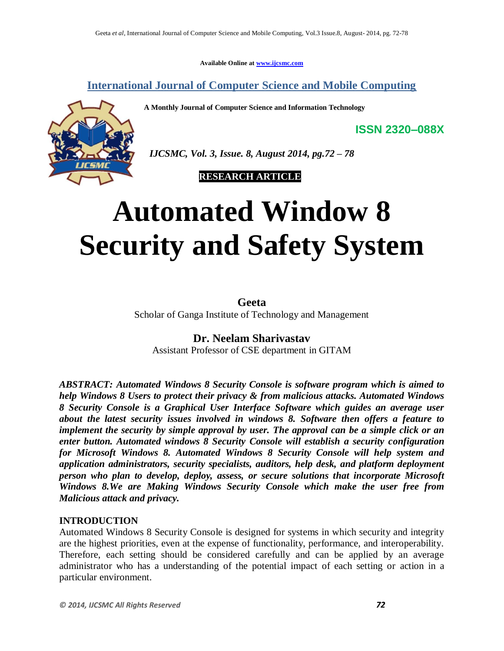**Available Online at www.ijcsmc.com**

**International Journal of Computer Science and Mobile Computing**

**A Monthly Journal of Computer Science and Information Technology**

 *IJCSMC, Vol. 3, Issue. 8, August 2014, pg.72 – 78*

 **RESEARCH ARTICLE**

# **Automated Window 8 Security and Safety System**

**Geeta** Scholar of Ganga Institute of Technology and Management

#### **Dr. Neelam Sharivastav**

Assistant Professor of CSE department in GITAM

*ABSTRACT: Automated Windows 8 Security Console is software program which is aimed to help Windows 8 Users to protect their privacy & from malicious attacks. Automated Windows 8 Security Console is a Graphical User Interface Software which guides an average user about the latest security issues involved in windows 8. Software then offers a feature to implement the security by simple approval by user. The approval can be a simple click or an enter button. Automated windows 8 Security Console will establish a security configuration for Microsoft Windows 8. Automated Windows 8 Security Console will help system and application administrators, security specialists, auditors, help desk, and platform deployment person who plan to develop, deploy, assess, or secure solutions that incorporate Microsoft Windows 8.We are Making Windows Security Console which make the user free from Malicious attack and privacy.*

#### **INTRODUCTION**

Automated Windows 8 Security Console is designed for systems in which security and integrity are the highest priorities, even at the expense of functionality, performance, and interoperability. Therefore, each setting should be considered carefully and can be applied by an average administrator who has a understanding of the potential impact of each setting or action in a particular environment.

**ISSN 2320–088X**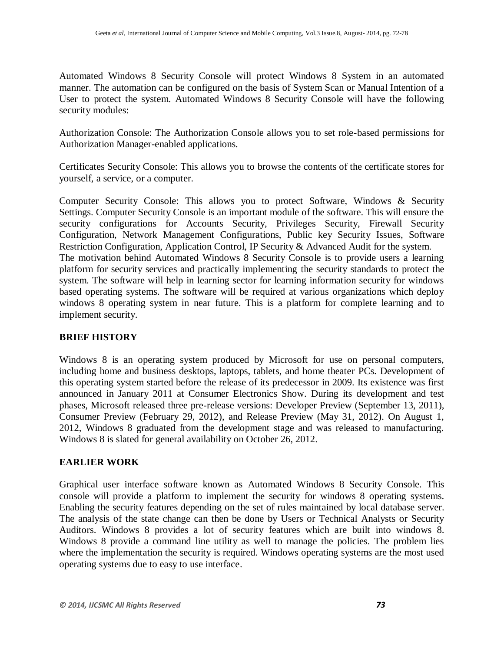Automated Windows 8 Security Console will protect Windows 8 System in an automated manner. The automation can be configured on the basis of System Scan or Manual Intention of a User to protect the system. Automated Windows 8 Security Console will have the following security modules:

Authorization Console: The Authorization Console allows you to set role-based permissions for Authorization Manager-enabled applications.

Certificates Security Console: This allows you to browse the contents of the certificate stores for yourself, a service, or a computer.

Computer Security Console: This allows you to protect Software, Windows & Security Settings. Computer Security Console is an important module of the software. This will ensure the security configurations for Accounts Security, Privileges Security, Firewall Security Configuration, Network Management Configurations, Public key Security Issues, Software Restriction Configuration, Application Control, IP Security & Advanced Audit for the system. The motivation behind Automated Windows 8 Security Console is to provide users a learning platform for security services and practically implementing the security standards to protect the system. The software will help in learning sector for learning information security for windows based operating systems. The software will be required at various organizations which deploy windows 8 operating system in near future. This is a platform for complete learning and to implement security.

#### **BRIEF HISTORY**

Windows 8 is an operating system produced by Microsoft for use on personal computers, including home and business desktops, laptops, tablets, and home theater PCs. Development of this operating system started before the release of its predecessor in 2009. Its existence was first announced in January 2011 at Consumer Electronics Show. During its development and test phases, Microsoft released three pre-release versions: Developer Preview (September 13, 2011), Consumer Preview (February 29, 2012), and Release Preview (May 31, 2012). On August 1, 2012, Windows 8 graduated from the development stage and was released to manufacturing. Windows 8 is slated for general availability on October 26, 2012.

#### **EARLIER WORK**

Graphical user interface software known as Automated Windows 8 Security Console. This console will provide a platform to implement the security for windows 8 operating systems. Enabling the security features depending on the set of rules maintained by local database server. The analysis of the state change can then be done by Users or Technical Analysts or Security Auditors. Windows 8 provides a lot of security features which are built into windows 8. Windows 8 provide a command line utility as well to manage the policies. The problem lies where the implementation the security is required. Windows operating systems are the most used operating systems due to easy to use interface.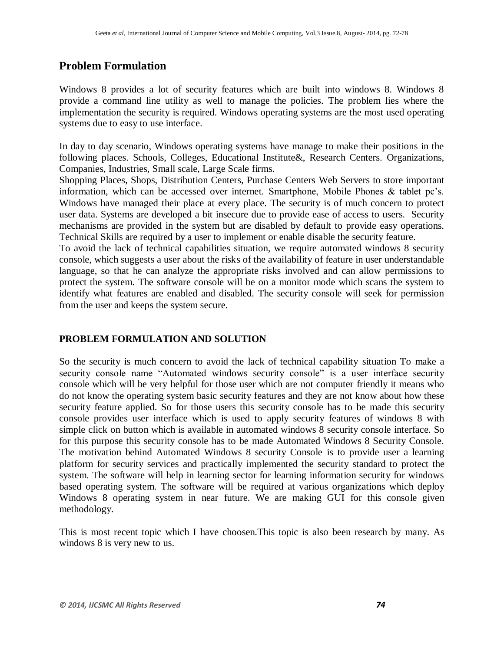# **Problem Formulation**

Windows 8 provides a lot of security features which are built into windows 8. Windows 8 provide a command line utility as well to manage the policies. The problem lies where the implementation the security is required. Windows operating systems are the most used operating systems due to easy to use interface.

In day to day scenario, Windows operating systems have manage to make their positions in the following places. Schools, Colleges, Educational Institute&, Research Centers. Organizations, Companies, Industries, Small scale, Large Scale firms.

Shopping Places, Shops, Distribution Centers, Purchase Centers Web Servers to store important information, which can be accessed over internet. Smartphone, Mobile Phones & tablet pc's. Windows have managed their place at every place. The security is of much concern to protect user data. Systems are developed a bit insecure due to provide ease of access to users. Security mechanisms are provided in the system but are disabled by default to provide easy operations. Technical Skills are required by a user to implement or enable disable the security feature.

To avoid the lack of technical capabilities situation, we require automated windows 8 security console, which suggests a user about the risks of the availability of feature in user understandable language, so that he can analyze the appropriate risks involved and can allow permissions to protect the system. The software console will be on a monitor mode which scans the system to identify what features are enabled and disabled. The security console will seek for permission from the user and keeps the system secure.

#### **PROBLEM FORMULATION AND SOLUTION**

So the security is much concern to avoid the lack of technical capability situation To make a security console name "Automated windows security console" is a user interface security console which will be very helpful for those user which are not computer friendly it means who do not know the operating system basic security features and they are not know about how these security feature applied. So for those users this security console has to be made this security console provides user interface which is used to apply security features of windows 8 with simple click on button which is available in automated windows 8 security console interface. So for this purpose this security console has to be made Automated Windows 8 Security Console. The motivation behind Automated Windows 8 security Console is to provide user a learning platform for security services and practically implemented the security standard to protect the system. The software will help in learning sector for learning information security for windows based operating system. The software will be required at various organizations which deploy Windows 8 operating system in near future. We are making GUI for this console given methodology.

This is most recent topic which I have choosen.This topic is also been research by many. As windows 8 is very new to us.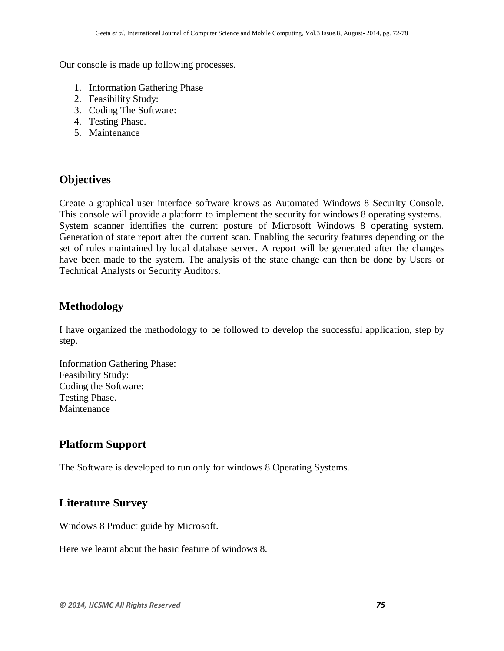Our console is made up following processes.

- 1. Information Gathering Phase
- 2. Feasibility Study:
- 3. Coding The Software:
- 4. Testing Phase.
- 5. Maintenance

## **Objectives**

Create a graphical user interface software knows as Automated Windows 8 Security Console. This console will provide a platform to implement the security for windows 8 operating systems. System scanner identifies the current posture of Microsoft Windows 8 operating system. Generation of state report after the current scan. Enabling the security features depending on the set of rules maintained by local database server. A report will be generated after the changes have been made to the system. The analysis of the state change can then be done by Users or Technical Analysts or Security Auditors.

## **Methodology**

I have organized the methodology to be followed to develop the successful application, step by step.

Information Gathering Phase: Feasibility Study: Coding the Software: Testing Phase. Maintenance

# **Platform Support**

The Software is developed to run only for windows 8 Operating Systems.

# **Literature Survey**

Windows 8 Product guide by Microsoft.

Here we learnt about the basic feature of windows 8.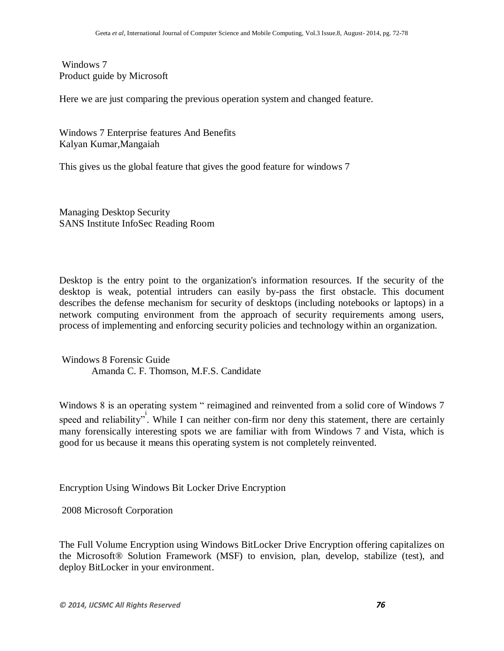#### Windows 7 Product guide by Microsoft

Here we are just comparing the previous operation system and changed feature.

Windows 7 Enterprise features And Benefits Kalyan Kumar,Mangaiah

This gives us the global feature that gives the good feature for windows 7

Managing Desktop Security SANS Institute InfoSec Reading Room

Desktop is the entry point to the organization's information resources. If the security of the desktop is weak, potential intruders can easily by-pass the first obstacle. This document describes the defense mechanism for security of desktops (including notebooks or laptops) in a network computing environment from the approach of security requirements among users, process of implementing and enforcing security policies and technology within an organization.

Windows 8 Forensic Guide Amanda C. F. Thomson, M.F.S. Candidate

Windows 8 is an operating system " reimagined and reinvented from a solid core of Windows 7 speed and reliability". While I can neither con-firm nor deny this statement, there are certainly many forensically interesting spots we are familiar with from Windows 7 and Vista, which is good for us because it means this operating system is not completely reinvented.

Encryption Using Windows Bit Locker Drive Encryption

2008 Microsoft Corporation

The Full Volume Encryption using Windows BitLocker Drive Encryption offering capitalizes on the Microsoft® Solution Framework (MSF) to envision, plan, develop, stabilize (test), and deploy BitLocker in your environment.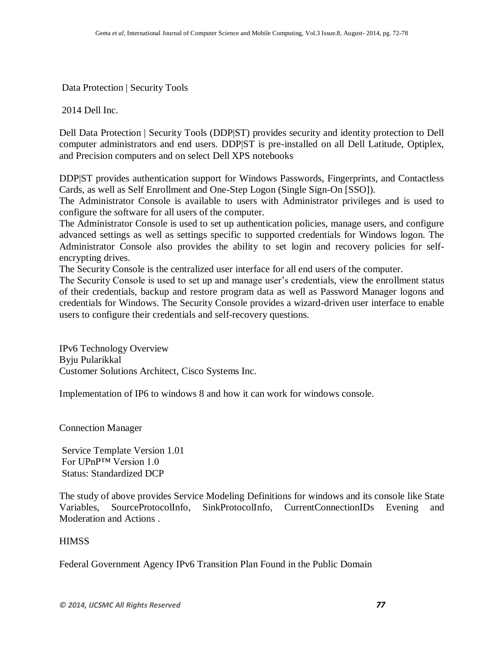Data Protection | Security Tools

2014 Dell Inc.

Dell Data Protection | Security Tools (DDP|ST) provides security and identity protection to Dell computer administrators and end users. DDP|ST is pre-installed on all Dell Latitude, Optiplex, and Precision computers and on select Dell XPS notebooks

DDP|ST provides authentication support for Windows Passwords, Fingerprints, and Contactless Cards, as well as Self Enrollment and One-Step Logon (Single Sign-On [SSO]).

The Administrator Console is available to users with Administrator privileges and is used to configure the software for all users of the computer.

The Administrator Console is used to set up authentication policies, manage users, and configure advanced settings as well as settings specific to supported credentials for Windows logon. The Administrator Console also provides the ability to set login and recovery policies for selfencrypting drives.

The Security Console is the centralized user interface for all end users of the computer.

The Security Console is used to set up and manage user's credentials, view the enrollment status of their credentials, backup and restore program data as well as Password Manager logons and credentials for Windows. The Security Console provides a wizard-driven user interface to enable users to configure their credentials and self-recovery questions.

IPv6 Technology Overview Byju Pularikkal Customer Solutions Architect, Cisco Systems Inc.

Implementation of IP6 to windows 8 and how it can work for windows console.

Connection Manager

Service Template Version 1.01 For UPnP™ Version 1.0 Status: Standardized DCP

The study of above provides Service Modeling Definitions for windows and its console like State Variables, SourceProtocolInfo, SinkProtocolInfo, CurrentConnectionIDs Evening and Moderation and Actions .

#### **HIMSS**

Federal Government Agency IPv6 Transition Plan Found in the Public Domain